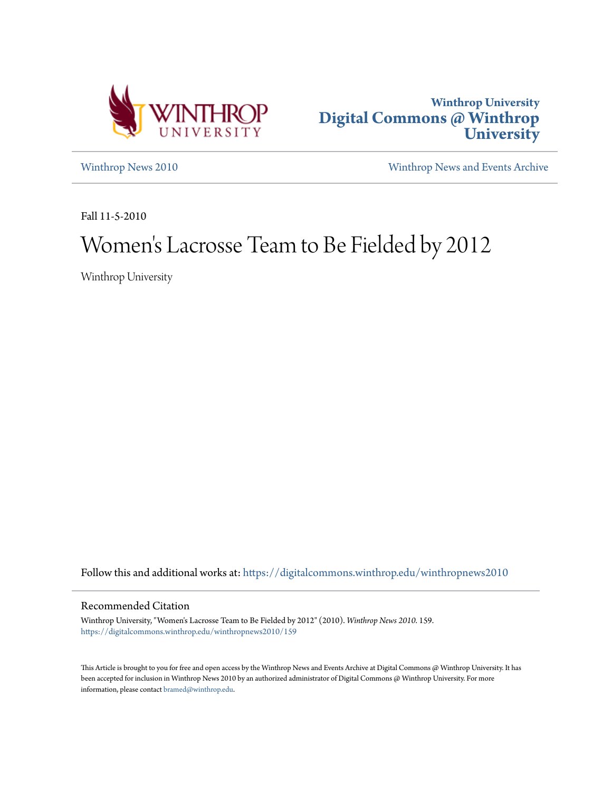



[Winthrop News 2010](https://digitalcommons.winthrop.edu/winthropnews2010?utm_source=digitalcommons.winthrop.edu%2Fwinthropnews2010%2F159&utm_medium=PDF&utm_campaign=PDFCoverPages) [Winthrop News and Events Archive](https://digitalcommons.winthrop.edu/winthropnewsarchives?utm_source=digitalcommons.winthrop.edu%2Fwinthropnews2010%2F159&utm_medium=PDF&utm_campaign=PDFCoverPages)

Fall 11-5-2010

# Women 's Lacrosse Team to Be Fielded by 2012

Winthrop University

Follow this and additional works at: [https://digitalcommons.winthrop.edu/winthropnews2010](https://digitalcommons.winthrop.edu/winthropnews2010?utm_source=digitalcommons.winthrop.edu%2Fwinthropnews2010%2F159&utm_medium=PDF&utm_campaign=PDFCoverPages)

#### Recommended Citation

Winthrop University, "Women's Lacrosse Team to Be Fielded by 2012" (2010). *Winthrop News 2010*. 159. [https://digitalcommons.winthrop.edu/winthropnews2010/159](https://digitalcommons.winthrop.edu/winthropnews2010/159?utm_source=digitalcommons.winthrop.edu%2Fwinthropnews2010%2F159&utm_medium=PDF&utm_campaign=PDFCoverPages)

This Article is brought to you for free and open access by the Winthrop News and Events Archive at Digital Commons @ Winthrop University. It has been accepted for inclusion in Winthrop News 2010 by an authorized administrator of Digital Commons @ Winthrop University. For more information, please contact [bramed@winthrop.edu](mailto:bramed@winthrop.edu).